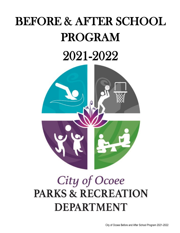# BEFORE & AFTER SCHOOL PROGRAM

## 2021-2022



## City of Ocoee **PARKS & RECREATION DEPARTMENT**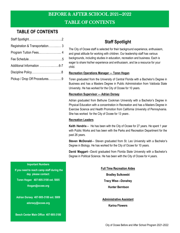## **TABLE OF CONTENTS**

| Registration & Transportation 3 |  |
|---------------------------------|--|
|                                 |  |
|                                 |  |
|                                 |  |
|                                 |  |
| Pickup / Drop Off Procedures9   |  |

## **Staff Spotlight**

The City of Ocoee staff is selected for their background experience, enthusiasm, and great attitude for working with children. Our leadership staff has various backgrounds, including studies in education, recreation and business. Each is eager to share his/her experience and enthusiasm, and be a resource for your child.

#### **Recreation Operations Manager — Toren Hogan**

Toren graduated from the University of Central Florida with a Bachelor's Degree in Business and has a Masters Degree in Public Administration from Valdosta State University. He has worked for the City of Ocoee for 10 years.

#### **Recreation Supervisor — Adrian Dorsey**

Adrian graduated from Bethune Cookman University with a Bachelor's Degree in Physical Education with a concentration in Recreation and has a Masters Degree in Exercise Science and Health Promotion from California University of Pennsylvania. She has worked for the City of Ocoee for 13 years .

#### **Recreation Leaders**

**Keith Hendrix**— He has been with the City of Ocoee for 27 years. He spent 1 year with Public Works and has been with the Parks and Recreation Department for the past 26 years.

**Steven McDonald**— Steven graduated from St. Leo University with a Bachelor's Degree in Biology. He has worked for the City of Ocoee for 10 years.

**David Maggart**—David graduated from Florida State University with a Bachelor's Degree in Political Science. He has been with the City of Ocoee for 4 years.

#### **Full Time Recreation Aides**

**Bradley Sulkowski**

**Tracy Wise—Donahey** 

**Hunter Berntson** 

#### **Administrative Assistant**

#### **Karina Flowers**

**Important Numbers** 

 **If you need to reach camp staff during the day please contact: Toren Hogan 407-905-3100 ext. 5005 thogan@ocoee.org**

**Adrian Dorsey 407-905-3100 ext. 5009 adorsey@ocoee.org** 

**Beech Center Main Office 407-905-3180**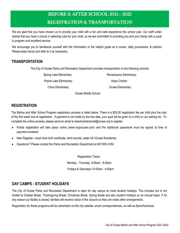## BEFORE & AFTER SCHOOL 2021– 2022 REGISTRATION & TRANSPORTATION

We are glad that you have chosen us to provide your child with a fun and safe experience this school year. Our staff understands that you have a choice in selecting care for your child, so we are committed to providing you and your family with a quality program and excellent service.

We encourage you to familiarize yourself with the information in the helpful guide as it covers, daily procedures, & policies. Please keep handy and refer to it as necessary.

## **TRANSPORTATION**

The City of Ocoee Parks and Recreation Department provides transportation to the following schools:

Spring Lake Elementary **Renaissance Elementary** 

Prairie Lake Elementary **Hope Charter** Hope Charter

Citrus Elementary **Citrus Elementary Ocoee Elementary** 

Ocoee Middle School

## **REGISTRATION**

The Before and After School Program registration process is listed below. There is a \$25.00 registration fee per child plus the cost of the first week due at registration. If payment is not made by the due date, your spot will be given to a child on our waiting list . To complete the online process, please send an email to beechcenteremail@ocoee.org to register.

- Partial registration will take place online (www.myprocare.com) and the additional paperwork must be signed at time of payment rendered
- New Register—must have birth certificate, shot records, water bill (Ocoee Residents)
- Questions? Please contact the Parks and Recreation Department at 407-905-3180

Registration Times : Monday - Thursday 8:00am - 8:00pm Fridays & Saturdays 10:00am - 4:00pm

## **DAY CAMPS - STUDENT HOLIDAYS**

The City of Ocoee Parks and Recreation Department is open for day camps on most student holidays. This includes but is not limited to October Break, Thanksgiving Break, Christmas Break, Spring Break and also student holidays on an annual basis. If for any reason our facility is closed, families will receive notice of the closure so they can make other arrangements.

Registration for these programs will be advertised via the city website, email correspondences, as well as flyers/handouts.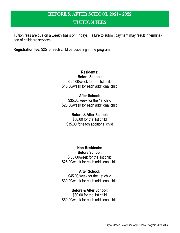## BEFORE & AFTER SCHOOL 2021– 2022

## TUITION FEES

Tuition fees are due on a weekly basis on Fridays. Failure to submit payment may result in termination of childcare services.

**Registration fee:** \$25 for each child participating in the program

**Residents: Before School:** \$ 25.00/week for the 1st child \$15.00/week for each additional child

**After School:** \$35.00/week for the 1st child \$20.00/week for each additional child

**Before & After School:** \$60.00 for the 1st child \$35.00 for each additional child

> **Non-Residents: Before School:**

\$ 35.00/week for the 1st child \$25.00/week for each additional child

**After School:** \$45.00/week for the 1st child \$30.00/week for each additional child

**Before & After School:** \$80.00 for the 1st child \$50.00/week for each additional child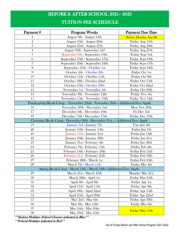## BEFORE & AFTER SCHOOL 2021– 2022

## TUITION FEE SCHEDULE

| Payment#                                                                          | <b>Program Weeks</b>                                                          | <b>Payment Due Date</b>      |  |
|-----------------------------------------------------------------------------------|-------------------------------------------------------------------------------|------------------------------|--|
| 1                                                                                 | August 9th - August 13th                                                      | <b>Before Monday Aug 9th</b> |  |
| $\overline{2}$                                                                    | August 16th - August 20th                                                     | Friday Aug 13th              |  |
| 3                                                                                 | August 23rd - August 27th                                                     | Friday Aug 20th              |  |
| $\overline{4}$                                                                    | August 30th - September 3rd                                                   | Friday Aug 27th              |  |
| 5                                                                                 | September 6th - September 10th                                                | Friday Sept 3rd              |  |
| 6                                                                                 | September 13th - September 17th                                               | Friday Sept 10th             |  |
| 7                                                                                 | September 20th - September 24th                                               | Friday Sept 17th             |  |
| 8                                                                                 | September 27th - October 1st                                                  | Friday Sept 24th             |  |
| 9                                                                                 | October 4th - October 8th                                                     | Friday Oct 1st               |  |
| 10                                                                                | October 11th - October 15th                                                   | Friday Oct 8th               |  |
| 11                                                                                | October 18th - October 22nd                                                   | Friday Oct 15th              |  |
| 12                                                                                | October 25th - October 29th                                                   | Friday Oct 22nd              |  |
| 13                                                                                | November 1st - November 5th                                                   | Friday Oct 29th              |  |
| 14                                                                                | November 8th - November 12th                                                  | Friday Nov 5th               |  |
| 15                                                                                | November 15th - November 19th                                                 | Friday Nov 12th              |  |
| Thanksgiving Break Camp - November 22nd - November 26th --- Additional Fees Apply |                                                                               |                              |  |
| 16                                                                                | November 29th - December 3rd                                                  | Mon Nov 29th                 |  |
| 17                                                                                | December 6th - December 10th                                                  | Fri Dec 3rd                  |  |
| 18                                                                                | Deember 13th - December 17th                                                  | Friday Dec 10th              |  |
|                                                                                   | Christmas Break Camp - December 20th - December 31st -- Additional Fees Apply |                              |  |
| 19                                                                                | January 3rd - January 7th                                                     | Tues Jan 4th                 |  |
| 20                                                                                | January 10th - January 14th                                                   | Friday Jan 7th               |  |
| 21                                                                                | January 17th - January 21st                                                   | Friday Jan 14th              |  |
| 22                                                                                | January 24th - January 28th                                                   | Friday Jan 21st              |  |
| 23                                                                                | January 31st - February 4th                                                   | Friday Jan 28th              |  |
| 24                                                                                | February 7th - February 11th                                                  | Friday Feb 4th               |  |
| 25                                                                                | February 14th - February 18th                                                 | Friday Feb 11th              |  |
| 26                                                                                | February 21st - February 25th                                                 | Friday Feb 18th              |  |
| 27                                                                                | February 28th - March 1st                                                     | Friday Feb 25th              |  |
| 28                                                                                | March 7th - March 11th                                                        | Friday Mar 4th               |  |
| Spring Break Camp - March 14th - March 18th---Additional Fees Apply               |                                                                               |                              |  |
| 29                                                                                | March 21st - March 25th                                                       | Monday Mar 21st              |  |
| 30                                                                                | March 28th - April 1st                                                        | Friday Mar 25th              |  |
| 31                                                                                | April 4th - April 8th                                                         | Friday Apr 1st               |  |
| 32                                                                                | April 11th - April 15th                                                       | Friday Apr 8th               |  |
| 33                                                                                | April 18th - April 22nd                                                       | Friday Apr 15th              |  |
| 34                                                                                | April 25th - April 29th                                                       | Friday Apr 22nd              |  |
| 35                                                                                | May 2nd - May 6th                                                             | Friday Apr 29th              |  |
| 36                                                                                | May 9th - May 13th                                                            | Friday May 6th               |  |
| 37                                                                                | May 16th - May 20th                                                           | <b>Friday May 13th</b>       |  |
| 38                                                                                | May 23rd - May 25th                                                           |                              |  |

\*\*Student Holidays /School Closures indicated in Blue\*\*

\*\*Federal Holidays indicated in Red\*\*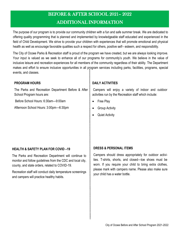## BEFORE & AFTER SCHOOL 2021– 2022 ADDITIONAL INFORMATION

The purpose of our program is to provide our community children with a fun and safe summer break. We are dedicated to offering quality programming that is planned and implemented by knowledgeable staff educated and experienced in the field of Child Development. We strive to provide your children with experiences that will promote emotional and physical health as well as encourage favorable qualities such a respect for others, positive self– esteem, and responsibility.

The City of Ocoee Parks & Recreation staff is proud of the program we have created, but we are always looking improve. Your input is valued as we seek to enhance all of our programs for community's youth. We believe in the value of inclusive leisure and recreation experiences for all members of the community regardless of their ability. The Department makes and effort to ensure inclusive opportunities in all program services including parks, facilities, programs, special events, and classes.

## **PROGRAM HOURS**

The Parks and Recreation Department Before & After School Program hours are:

Before School Hours: 6:30am—9:00am

Afternoon School Hours: 3:00pm—6:30pm

## **DAILY ACTIVITIES**

Campers will enjoy a variety of indoor and outdoor activities run by the Recreation staff which include:

- Free Play
- Group Activity
- **Quiet Activity**

## **HEALTH & SAFETY PLAN FOR COVID –19**

The Parks and Recreation Department will continue to monitor and follow guidelines from the CDC and local city, county, and state orders, related to COVID-19.

Recreation staff will conduct daily temperature screenings and campers will practice healthy habits.

## **DRESS & PERSONAL ITEMS**

Campers should dress appropriately for outdoor activities. T-shirts, shorts, and closed—toe shoes must be worn. If you require your child to bring extra clothes, please mark with campers name. Please also make sure your child has a water bottle.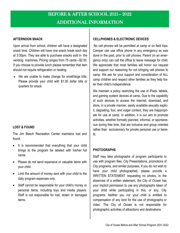### **AFTERNOON SNACK**

Upon arrival from school, children will have a designated snack time. Children will have one snack break each day at 3:30pm. They are able to purchase snacks sold in the vending machines. Pricing ranges from 75 cents—\$2.00. If you choose to provide lunch please remember that item should not require refrigeration or heating.

 We are unable to make change for small/large bills. Please provide your child with \$1.00 dollar bills or quarters for snack.

## **LOST & FOUND**

The Jim Beech Recreation Center maintains lost and found.

- It is recommended that everything that your child brings to the program be labeled with his/her full name.
- Please do not send expensive or valuable items with your child.
- Limit the amount of money sent with your child to the daily program expenses only.
- Staff cannot be responsible for your child's money or personal items, including toys and media players. Staff is not responsible for lost, stolen or damaged items.

#### **CELLPHONES & ELECTRONIC DEVICES**

No cell phones will be permitted at camp or on field trips. Camper can use office phone in any emergency as was done in the past, prior to cell phones. Parent (in an emergency only) can call the office to leave message for child. We appreciate that most families will honor our request and support our reasoning for not bringing cell phones to camp. We ask for your support and consideration of ALL camp children and respect other families as they help foster their child's independence.

We maintain a policy restricting the use of iPads, tablets, and gaming system devices at camp. Due to the capability of such devices to access the internet, download, and store, in a private manner, easily available sexually explicit, degrading, foul, and vulgar content, they are inappropriate for use at camp. In addition, it is our aim to promote activities, whether formally planned, informal, or spontaneous during free time, that are inclusive and group oriented rather than exclusionary for private personal use or benefit.

#### **PHOTOGRAPHS**

Staff may take photographs of program participants to use with program files, City Presentations, promotions of City programs, and similar purposes. If you do not wish to have your child photographed, please provide a WRITTEN STATEMENT requesting no photos. In the absences of a written statement, the City of Ocoee has your implicit permission to use any photographs taken of your child while participating in this, or any, City programs. Neither you nor your child is entitled to compensation of any kind for the use of photographs or video. The City of Ocoee is not responsible for photographic activities of attractions and destinations.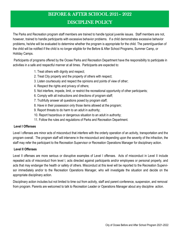## BEFORE & AFTER SCHOOL 2021– 2022

## DISCIPLINE POLICY

The Parks and Recreation program staff members are trained to handle typical juvenile issues. Staff members are not, however, trained to handle participants with excessive behavior problems. If a child demonstrates excessive behavior problems, he/she will be evaluated to determine whether the program is appropriate for the child. The parent/guardian of the child will be notified if the child is no longer eligible for the Before & After School Programs, Summer Camp, or Holiday Camps.

Participants of programs offered by the Ocoee Parks and Recreation Department have the responsibility to participate in activities in a safe and respectful manner at all times. Participants are expected to:

- 1. Treat others with dignity and respect;
- 2. Treat City property and the property of others with respect;
- 3. Listen courteously and respect the opinions and points of view of other;
- 4. Respect the rights and privacy of others;
- 5. Not interfere, impede, limit, or restrict the recreational opportunity of other participants;
- 6. Comply with all instructions and directions of program staff;
- 7. Truthfully answer all questions posed by program staff;
- 8. Have in their possession only those items allowed at the program;
- 9. Report threats to do harm to an adult in authority;
- 10. Report hazardous or dangerous situation to an adult in authority;
- 11. Follow the rules and regulations of Parks and Recreation Department.

## **Level I Offenses**

Level I offenses are minor acts of misconduct that interfere with the orderly operation of an activity, transportation and the program overall. The program staff will intervene in the misconduct and depending upon the severity of the infraction, the staff may refer the participant to the Recreation Supervisor or Recreation Operations Manager for disciplinary action.

## **Level II Offenses**

Level II offenses are more serious or disruptive examples of Level I offenses. Acts of misconduct in Level II include repeated acts of misconduct from level I, acts directed against participants and/or employees or personal property, and acts that may endanger the health or safety of others. Misconduct at this level will be reported to the Recreation Supervisor immediately and/or to the Recreation Operations Manager, who will investigate the situation and decide on the appropriate disciplinary action.

Disciplinary action includes but not limited to time out from activity, staff and parent conference, suspension, and removal from program. Parents are welcomed to talk to Recreation Leader or Operations Manager about any discipline action.